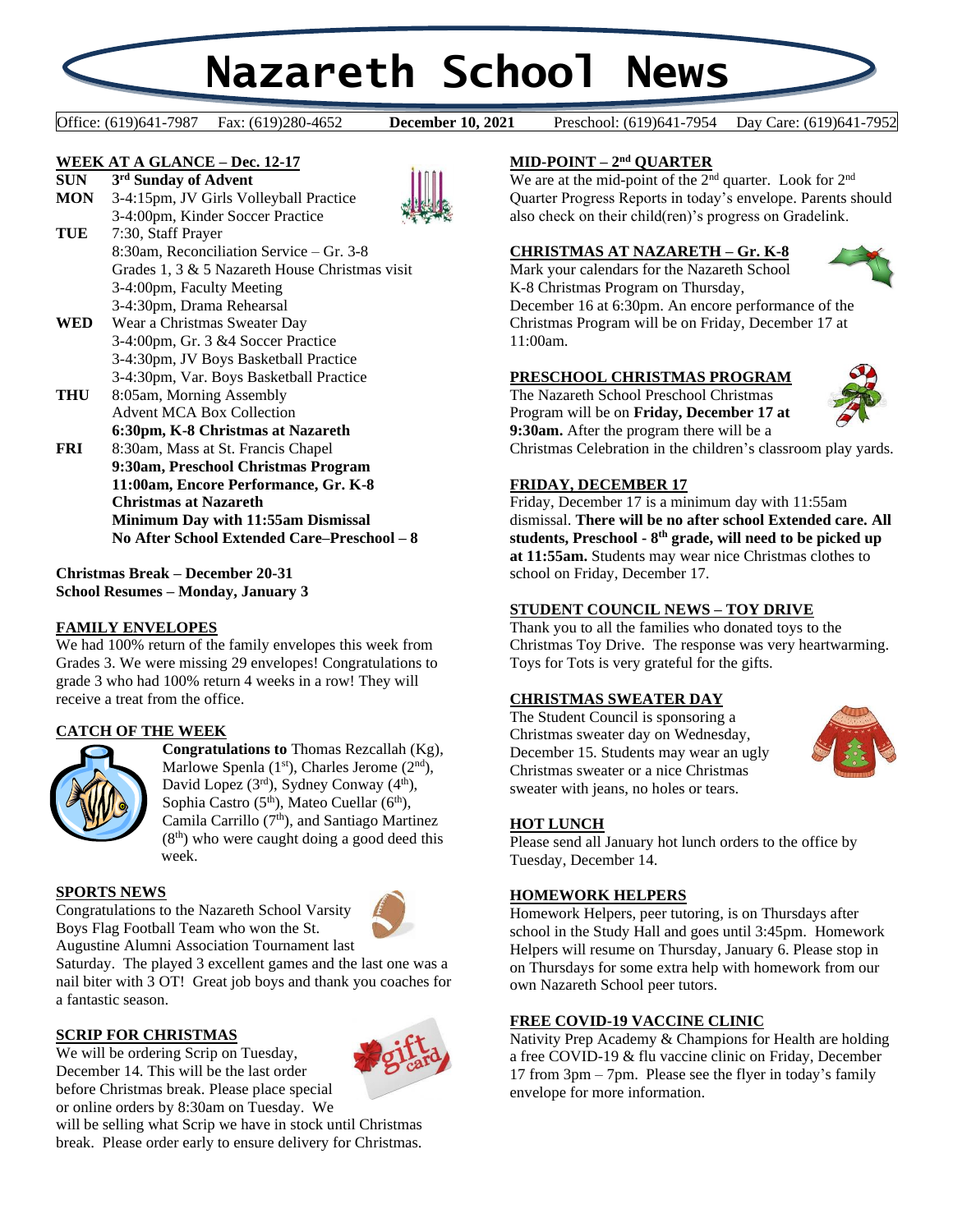# **Nazareth School News**

Office: (619)641-7987 Fax: (619)280-4652 **December 10, 2021** Preschool: (619)641-7954 Day Care: (619)641-7952

**December 10, 2021** 

#### **WEEK AT A GLANCE – Dec. 12-17 SUN 3 rd Sunday of Advent**



- **MON** 3-4:15pm, JV Girls Volleyball Practice 3-4:00pm, Kinder Soccer Practice
- **TUE** 7:30, Staff Prayer 8:30am, Reconciliation Service – Gr. 3-8 Grades 1, 3 & 5 Nazareth House Christmas visit 3-4:00pm, Faculty Meeting 3-4:30pm, Drama Rehearsal
- **WED** Wear a Christmas Sweater Day 3-4:00pm, Gr. 3 &4 Soccer Practice 3-4:30pm, JV Boys Basketball Practice 3-4:30pm, Var. Boys Basketball Practice
- **THU** 8:05am, Morning Assembly Advent MCA Box Collection **6:30pm, K-8 Christmas at Nazareth FRI** 8:30am, Mass at St. Francis Chapel
- **9:30am, Preschool Christmas Program 11:00am, Encore Performance, Gr. K-8 Christmas at Nazareth Minimum Day with 11:55am Dismissal No After School Extended Care–Preschool – 8**

**Christmas Break – December 20-31 School Resumes – Monday, January 3**

# **FAMILY ENVELOPES**

We had 100% return of the family envelopes this week from Grades 3. We were missing 29 envelopes! Congratulations to grade 3 who had 100% return 4 weeks in a row! They will receive a treat from the office.

# **CATCH OF THE WEEK**



**Congratulations to** Thomas Rezcallah (Kg), Marlowe Spenla  $(1<sup>st</sup>)$ , Charles Jerome  $(2<sup>nd</sup>)$ , David Lopez (3rd), Sydney Conway (4<sup>th</sup>), Sophia Castro (5<sup>th</sup>), Mateo Cuellar (6<sup>th</sup>), Camila Carrillo (7<sup>th</sup>), and Santiago Martinez  $(8<sup>th</sup>)$  who were caught doing a good deed this week.

#### **SPORTS NEWS**

Congratulations to the Nazareth School Varsity Boys Flag Football Team who won the St.



Augustine Alumni Association Tournament last

Saturday. The played 3 excellent games and the last one was a nail biter with 3 OT! Great job boys and thank you coaches for a fantastic season.

# **SCRIP FOR CHRISTMAS**

We will be ordering Scrip on Tuesday, December 14. This will be the last order before Christmas break. Please place special or online orders by 8:30am on Tuesday. We



# **MID-POINT – 2 nd QUARTER**

We are at the mid-point of the 2<sup>nd</sup> quarter. Look for 2<sup>nd</sup> Quarter Progress Reports in today's envelope. Parents should also check on their child(ren)'s progress on Gradelink.

#### **CHRISTMAS AT NAZARETH – Gr. K-8**

Mark your calendars for the Nazareth School K-8 Christmas Program on Thursday,



December 16 at 6:30pm. An encore performance of the Christmas Program will be on Friday, December 17 at 11:00am.

### **PRESCHOOL CHRISTMAS PROGRAM**

The Nazareth School Preschool Christmas Program will be on **Friday, December 17 at 9:30am.** After the program there will be a Christmas Celebration in the children's classroom play yards.

### **FRIDAY, DECEMBER 17**

Friday, December 17 is a minimum day with 11:55am dismissal. **There will be no after school Extended care. All students, Preschool - 8 th grade, will need to be picked up at 11:55am.** Students may wear nice Christmas clothes to school on Friday, December 17.

#### **STUDENT COUNCIL NEWS – TOY DRIVE**

Thank you to all the families who donated toys to the Christmas Toy Drive. The response was very heartwarming. Toys for Tots is very grateful for the gifts.

#### **CHRISTMAS SWEATER DAY**

The Student Council is sponsoring a Christmas sweater day on Wednesday, December 15. Students may wear an ugly Christmas sweater or a nice Christmas sweater with jeans, no holes or tears.



#### **HOT LUNCH**

Please send all January hot lunch orders to the office by Tuesday, December 14.

#### **HOMEWORK HELPERS**

Homework Helpers, peer tutoring, is on Thursdays after school in the Study Hall and goes until 3:45pm. Homework Helpers will resume on Thursday, January 6. Please stop in on Thursdays for some extra help with homework from our own Nazareth School peer tutors.

# **FREE COVID-19 VACCINE CLINIC**

Nativity Prep Academy & Champions for Health are holding a free COVID-19 & flu vaccine clinic on Friday, December 17 from 3pm – 7pm. Please see the flyer in today's family envelope for more information.

will be selling what Scrip we have in stock until Christmas break. Please order early to ensure delivery for Christmas.